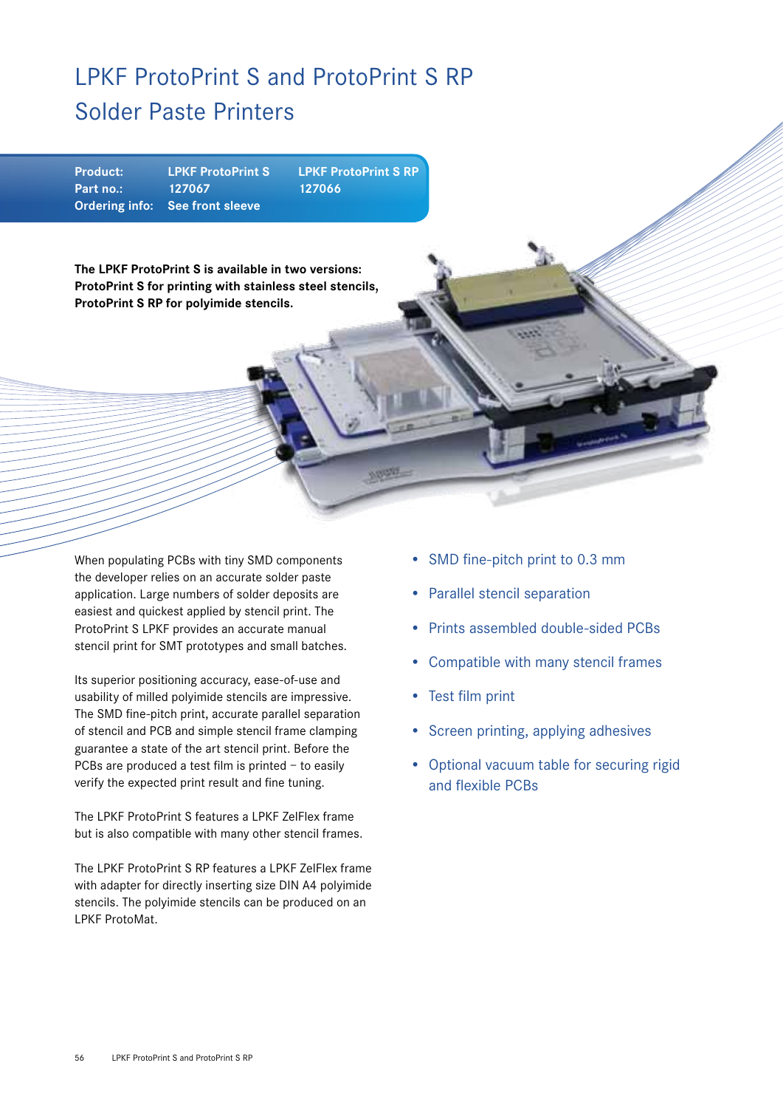## LPKF ProtoPrint S and ProtoPrint S RP Solder Paste Printers

| <b>Product:</b> | <b>LPKF ProtoPrint S</b>        | <b>LPKF ProtoPrint S RP</b> |
|-----------------|---------------------------------|-----------------------------|
| Part no.:       | 127067                          | 127066                      |
|                 | Ordering info: See front sleeve |                             |

**The LPKF ProtoPrint S is available in two versions: ProtoPrint S for printing with stainless steel stencils, ProtoPrint S RP for polyimide stencils.**

When populating PCBs with tiny SMD components the developer relies on an accurate solder paste application. Large numbers of solder deposits are easiest and quickest applied by stencil print. The ProtoPrint S LPKF provides an accurate manual stencil print for SMT prototypes and small batches.

Its superior positioning accuracy, ease-of-use and usability of milled polyimide stencils are impressive. The SMD fine-pitch print, accurate parallel separation of stencil and PCB and simple stencil frame clamping guarantee a state of the art stencil print. Before the PCBs are produced a test film is printed – to easily verify the expected print result and fine tuning.

The LPKF ProtoPrint S features a LPKF ZelFlex frame but is also compatible with many other stencil frames.

The LPKF ProtoPrint S RP features a LPKF ZelFlex frame with adapter for directly inserting size DIN A4 polyimide stencils. The polyimide stencils can be produced on an LPKF ProtoMat.

- SMD fine-pitch print to 0.3 mm
- Parallel stencil separation
- Prints assembled double-sided PCBs
- Compatible with many stencil frames
- Test film print
- Screen printing, applying adhesives
- Optional vacuum table for securing rigid and flexible PCBs